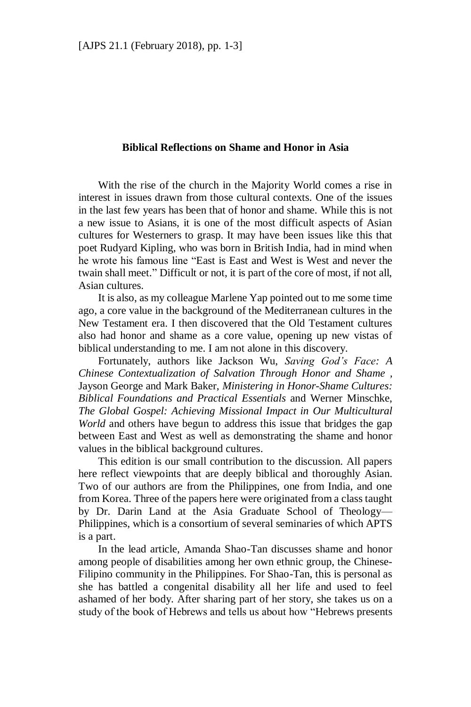## **Biblical Reflections on Shame and Honor in Asia**

With the rise of the church in the Majority World comes a rise in interest in issues drawn from those cultural contexts. One of the issues in the last few years has been that of honor and shame. While this is not a new issue to Asians, it is one of the most difficult aspects of Asian cultures for Westerners to grasp. It may have been issues like this that poet Rudyard Kipling, who was born in British India, had in mind when he wrote his famous line "East is East and West is West and never the twain shall meet." Difficult or not, it is part of the core of most, if not all, Asian cultures.

It is also, as my colleague Marlene Yap pointed out to me some time ago, a core value in the background of the Mediterranean cultures in the New Testament era. I then discovered that the Old Testament cultures also had honor and shame as a core value, opening up new vistas of biblical understanding to me. I am not alone in this discovery.

Fortunately, authors like Jackson Wu, *Saving God's Face: A Chinese Contextualization of Salvation Through Honor and Shame ,* Jayson George and Mark Baker, *Ministering in Honor-Shame Cultures: Biblical Foundations and Practical Essentials* and Werner Minschke, *The Global Gospel: Achieving Missional Impact in Our Multicultural World* and others have begun to address this issue that bridges the gap between East and West as well as demonstrating the shame and honor values in the biblical background cultures.

This edition is our small contribution to the discussion. All papers here reflect viewpoints that are deeply biblical and thoroughly Asian. Two of our authors are from the Philippines, one from India, and one from Korea. Three of the papers here were originated from a class taught by Dr. Darin Land at the Asia Graduate School of Theology— Philippines, which is a consortium of several seminaries of which APTS is a part.

In the lead article, Amanda Shao-Tan discusses shame and honor among people of disabilities among her own ethnic group, the Chinese-Filipino community in the Philippines. For Shao-Tan, this is personal as she has battled a congenital disability all her life and used to feel ashamed of her body. After sharing part of her story, she takes us on a study of the book of Hebrews and tells us about how "Hebrews presents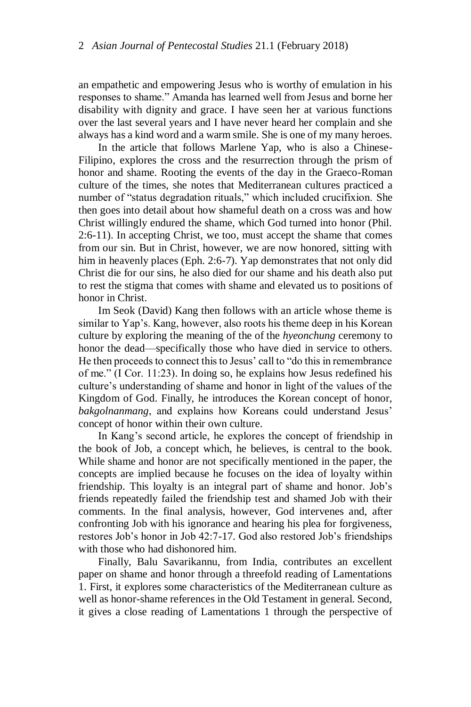an empathetic and empowering Jesus who is worthy of emulation in his responses to shame." Amanda has learned well from Jesus and borne her disability with dignity and grace. I have seen her at various functions over the last several years and I have never heard her complain and she always has a kind word and a warm smile. She is one of my many heroes.

In the article that follows Marlene Yap, who is also a Chinese-Filipino, explores the cross and the resurrection through the prism of honor and shame. Rooting the events of the day in the Graeco-Roman culture of the times, she notes that Mediterranean cultures practiced a number of "status degradation rituals," which included crucifixion. She then goes into detail about how shameful death on a cross was and how Christ willingly endured the shame, which God turned into honor (Phil. 2:6-11). In accepting Christ, we too, must accept the shame that comes from our sin. But in Christ, however, we are now honored, sitting with him in heavenly places (Eph. 2:6-7). Yap demonstrates that not only did Christ die for our sins, he also died for our shame and his death also put to rest the stigma that comes with shame and elevated us to positions of honor in Christ.

Im Seok (David) Kang then follows with an article whose theme is similar to Yap's. Kang, however, also roots his theme deep in his Korean culture by exploring the meaning of the of the *hyeonchung* ceremony to honor the dead—specifically those who have died in service to others. He then proceeds to connect this to Jesus' call to "do this in remembrance of me." (I Cor. 11:23). In doing so, he explains how Jesus redefined his culture's understanding of shame and honor in light of the values of the Kingdom of God. Finally, he introduces the Korean concept of honor, *bakgolnanmang*, and explains how Koreans could understand Jesus' concept of honor within their own culture.

In Kang's second article, he explores the concept of friendship in the book of Job, a concept which, he believes, is central to the book. While shame and honor are not specifically mentioned in the paper, the concepts are implied because he focuses on the idea of loyalty within friendship. This loyalty is an integral part of shame and honor. Job's friends repeatedly failed the friendship test and shamed Job with their comments. In the final analysis, however, God intervenes and, after confronting Job with his ignorance and hearing his plea for forgiveness, restores Job's honor in Job 42:7-17. God also restored Job's friendships with those who had dishonored him.

Finally, Balu Savarikannu, from India, contributes an excellent paper on shame and honor through a threefold reading of Lamentations 1. First, it explores some characteristics of the Mediterranean culture as well as honor-shame references in the Old Testament in general. Second, it gives a close reading of Lamentations 1 through the perspective of